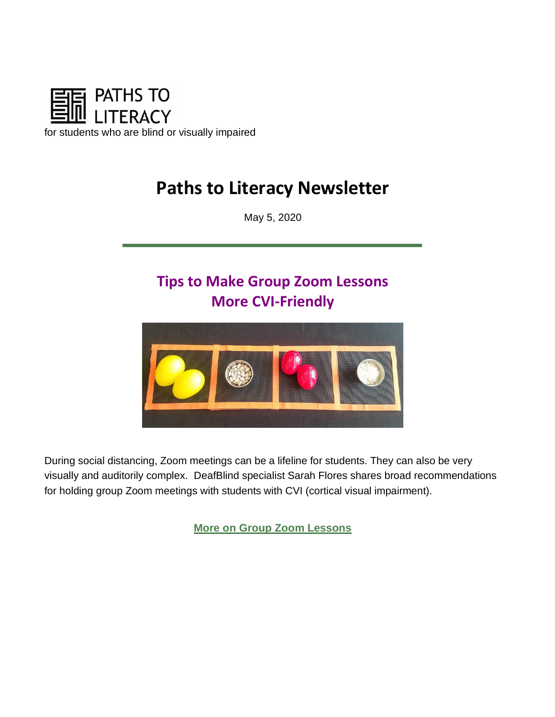

# **Paths to Literacy Newsletter**

May 5, 2020

# **Tips to Make Group Zoom Lessons More CVI-Friendly**



During social distancing, Zoom meetings can be a lifeline for students. They can also be very visually and auditorily complex. DeafBlind specialist Sarah Flores shares broad recommendations for holding group Zoom meetings with students with CVI (cortical visual impairment).

**[More on Group Zoom Lessons](https://www.pathstoliteracy.org/blog/tips-make-group-zoom-lessons-more-cvi-friendly)**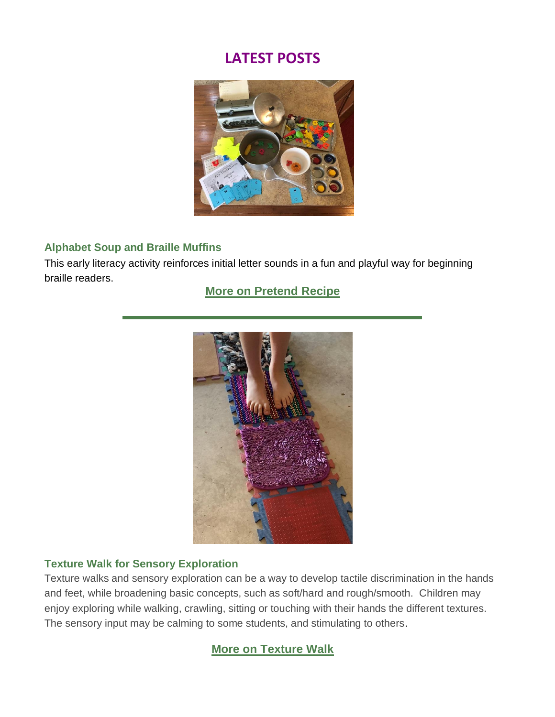## **LATEST POSTS**



#### **Alphabet Soup and Braille Muffins**

This early literacy activity reinforces initial letter sounds in a fun and playful way for beginning braille readers.

### **[More on Pretend Recipe](https://www.pathstoliteracy.org/strategies/alphabet-soup-and-braille-muffins)**



#### **Texture Walk for Sensory Exploration**

Texture walks and sensory exploration can be a way to develop tactile discrimination in the hands and feet, while broadening basic concepts, such as soft/hard and rough/smooth. Children may enjoy exploring while walking, crawling, sitting or touching with their hands the different textures. The sensory input may be calming to some students, and stimulating to others.

### **[More on Texture Walk](https://www.pathstoliteracy.org/strategies/texture-walk-sensory-exploration)**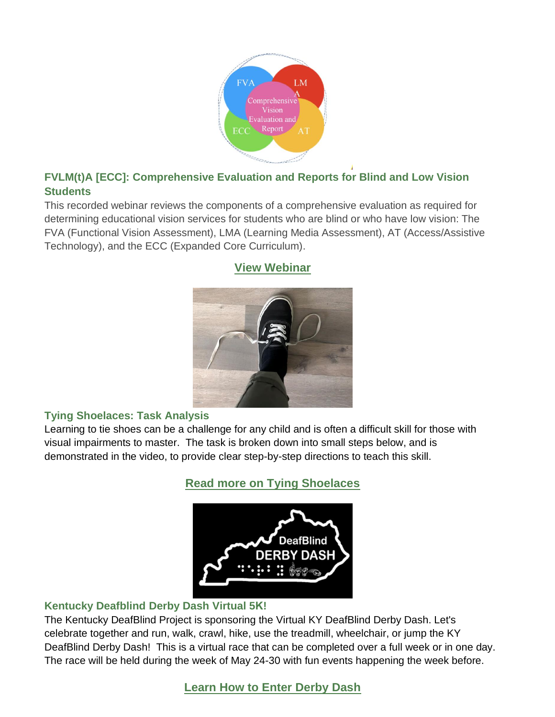

### **FVLM(t)A [ECC]: Comprehensive Evaluation and Reports for Blind and Low Vision Students**

This recorded webinar reviews the components of a comprehensive evaluation as required for determining educational vision services for students who are blind or who have low vision: The FVA (Functional Vision Assessment), LMA (Learning Media Assessment), AT (Access/Assistive Technology), and the ECC (Expanded Core Curriculum).



## **[View Webinar](https://www.pathstoliteracy.org/resources/fvlmta-ecc-comprehensive-evaluation-and-reports-blind-and-low-vision-students)**

#### **Tying Shoelaces: Task Analysis**

Learning to tie shoes can be a challenge for any child and is often a difficult skill for those with visual impairments to master. The task is broken down into small steps below, and is demonstrated in the video, to provide clear step-by-step directions to teach this skill.

**[Read more on Tying Shoelaces](https://www.pathstoliteracy.org/strategies/tying-shoelaces-task-analysis)**



#### **Kentucky Deafblind Derby Dash Virtual 5K!**

The Kentucky DeafBlind Project is sponsoring the Virtual KY DeafBlind Derby Dash. Let's celebrate together and run, walk, crawl, hike, use the treadmill, wheelchair, or jump the KY DeafBlind Derby Dash! This is a virtual race that can be completed over a full week or in one day. The race will be held during the week of May 24-30 with fun events happening the week before.

**[Learn How to Enter Derby Dash](https://www.pathstoliteracy.org/resources/kentucky-deafblind-derby-dash-virtual-5k)**